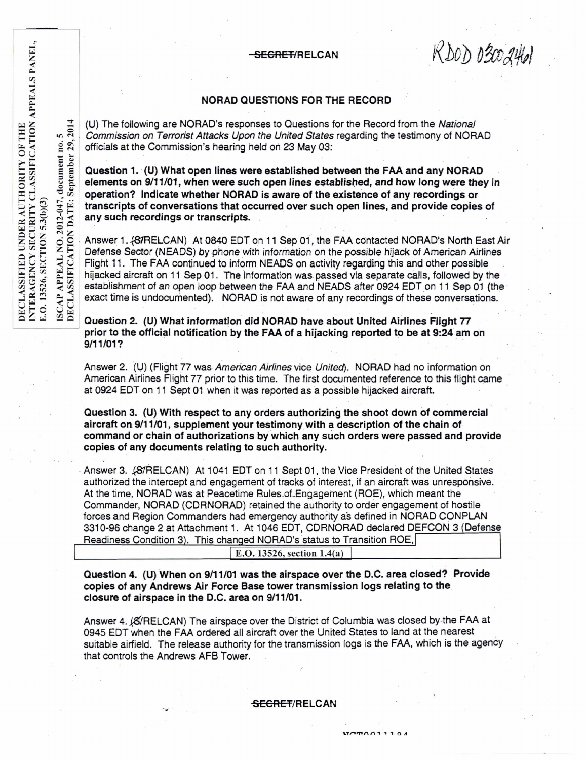DECLASSIFIED UNDER AUTHORITY OF THE<br>INTERAGENCY SECURITY CLASSIFICATION APPEALS PANEL, 2014  $\mathbf{v}$ 29, ISCAP APPEAL NO. 2012-047, document no.<br>DECLASSIFICATION DATE: September 29, E.O. 13526, SECTION 5.3(b)(3)

## SECRET/RELCAN

 $K$ DOD  $030246$ 

## **NORAD QUESTIONS FOR THE RECORD**

(U) The following are NORAD's responses to Questions for the Record from the National Commission on Terrorist Attacks Upon the United States regarding the testimony of NORAD officials at the Commission's hearing held on 23 May 03:

Question 1. (U) What open lines were established between the FAA and any NORAD elements on 9/11/01, when were such open lines established, and how long were they in operation? Indicate whether NORAD is aware of the existence of any recordings or transcripts of conversations that occurred over such open lines, and provide copies of any such recordings or transcripts.

Answer 1. (8/RELCAN) At 0840 EDT on 11 Sep 01, the FAA contacted NORAD's North East Air Defense Sector (NEADS) by phone with information on the possible hilack of American Airlines Flight 11. The FAA continued to inform NEADS on activity regarding this and other possible hijacked aircraft on 11 Sep 01. The information was passed via separate calls, followed by the establishment of an open loop between the FAA and NEADS after 0924 EDT on 11 Sep 01 (the exact time is undocumented). NORAD is not aware of any recordings of these conversations.

Question 2. (U) What information did NORAD have about United Airlines Flight 77 prior to the official notification by the FAA of a hijacking reported to be at 9:24 am on 9/11/01?

Answer 2. (U) (Flight 77 was American Airlines vice United). NORAD had no information on American Airlines Flight 77 prior to this time. The first documented reference to this flight came at 0924 EDT on 11 Sept 01 when it was reported as a possible hijacked aircraft.

Question 3. (U) With respect to any orders authorizing the shoot down of commercial aircraft on 9/11/01, supplement your testimony with a description of the chain of command or chain of authorizations by which any such orders were passed and provide copies of any documents relating to such authority.

Answer 3. (8/RELCAN) At 1041 EDT on 11 Sept 01, the Vice President of the United States authorized the intercept and engagement of tracks of interest, if an aircraft was unresponsive. At the time, NORAD was at Peacetime Rules of Engagement (ROE), which meant the Commander, NORAD (CDRNORAD) retained the authority to order engagement of hostile forces and Region Commanders had emergency authority as defined in NORAD CONPLAN 3310-96 change 2 at Attachment 1. At 1046 EDT, CDRNORAD declared DEFCON 3 (Defense Readiness Condition 3). This changed NORAD's status to Transition ROE,

E.O. 13526, section 1.4(a)

Question 4. (U) When on 9/11/01 was the airspace over the D.C. area closed? Provide copies of any Andrews Air Force Base tower transmission logs relating to the closure of airspace in the D.C. area on 9/11/01.

Answer 4, (S/RELCAN) The airspace over the District of Columbia was closed by the FAA at 0945 EDT when the FAA ordered all aircraft over the United States to land at the nearest suitable airfield. The release authority for the transmission logs is the FAA, which is the agency that controls the Andrews AFB Tower.

## SECRET/RELCAN